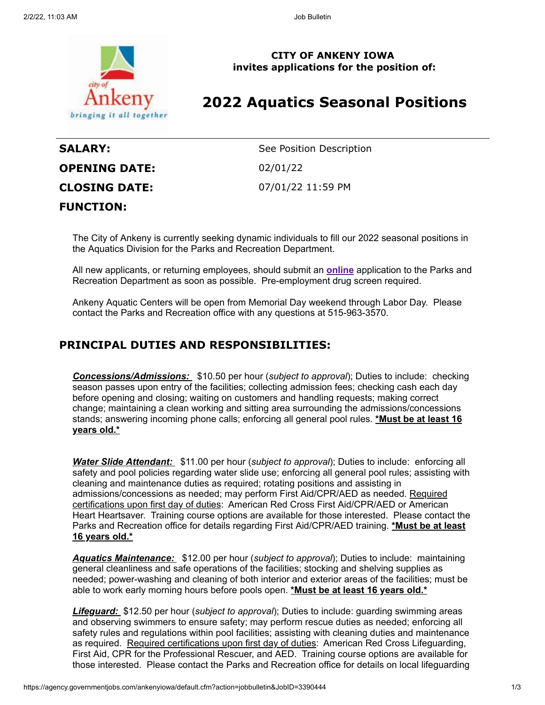

**CITY OF ANKENY IOWA invites applications for the position of:**

# **2022 Aquatics Seasonal Positions**

| <b>SALARY:</b>       | See Position Description |
|----------------------|--------------------------|
| <b>OPENING DATE:</b> | 02/01/22                 |
| <b>CLOSING DATE:</b> | 07/01/22 11:59 PM        |
| <b>FUNCTION:</b>     |                          |

The City of Ankeny is currently seeking dynamic individuals to fill our 2022 seasonal positions in the Aquatics Division for the Parks and Recreation Department.

All new applicants, or returning employees, should submit an **[online](https://www.ankenyiowa.gov/our-city/departments/human-resources)** application to the Parks and Recreation Department as soon as possible. Pre-employment drug screen required.

Ankeny Aquatic Centers will be open from Memorial Day weekend through Labor Day. Please contact the Parks and Recreation office with any questions at 515-963-3570.

## **PRINCIPAL DUTIES AND RESPONSIBILITIES:**

*Concessions/Admissions:* \$10.50 per hour (*subject to approval*); Duties to include: checking season passes upon entry of the facilities; collecting admission fees; checking cash each day before opening and closing; waiting on customers and handling requests; making correct change; maintaining a clean working and sitting area surrounding the admissions/concessions stands; answering incoming phone calls; enforcing all general pool rules. **\*Must be at least 16 years old.\***

*Water Slide Attendant:* \$11.00 per hour (*subject to approval*); Duties to include: enforcing all safety and pool policies regarding water slide use; enforcing all general pool rules; assisting with cleaning and maintenance duties as required; rotating positions and assisting in admissions/concessions as needed; may perform First Aid/CPR/AED as needed. Required certifications upon first day of duties: American Red Cross First Aid/CPR/AED or American Heart Heartsaver. Training course options are available for those interested. Please contact the Parks and Recreation office for details regarding First Aid/CPR/AED training. **\*Must be at least 16 years old.\***

*Aquatics Maintenance:* \$12.00 per hour (*subject to approval*); Duties to include: maintaining general cleanliness and safe operations of the facilities; stocking and shelving supplies as needed; power-washing and cleaning of both interior and exterior areas of the facilities; must be able to work early morning hours before pools open. **\*Must be at least 16 years old.\***

*Lifeguard:* \$12.50 per hour (*subject to approval*); Duties to include: guarding swimming areas and observing swimmers to ensure safety; may perform rescue duties as needed; enforcing all safety rules and regulations within pool facilities; assisting with cleaning duties and maintenance as required. Required certifications upon first day of duties: American Red Cross Lifeguarding, First Aid, CPR for the Professional Rescuer, and AED. Training course options are available for those interested. Please contact the Parks and Recreation office for details on local lifeguarding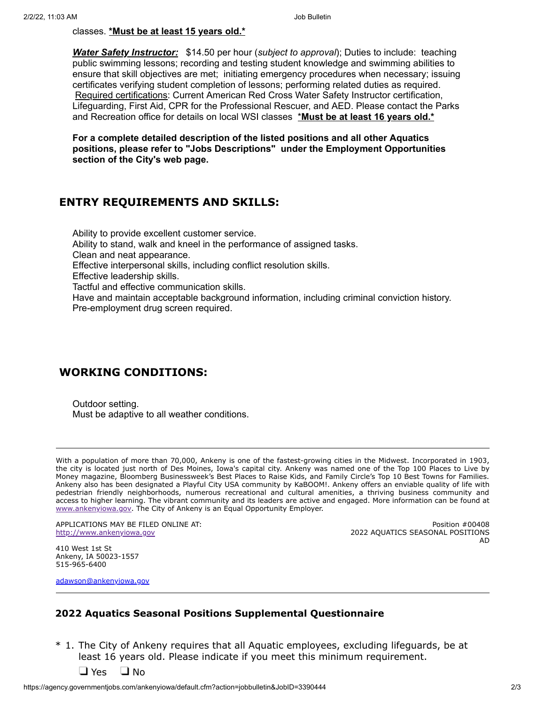#### classes. **\*Must be at least 15 years old.\***

*Water Safety Instructor:* \$14.50 per hour (*subject to approval*); Duties to include: teaching public swimming lessons; recording and testing student knowledge and swimming abilities to ensure that skill objectives are met; initiating emergency procedures when necessary; issuing certificates verifying student completion of lessons; performing related duties as required. Required certifications: Current American Red Cross Water Safety Instructor certification, Lifeguarding, First Aid, CPR for the Professional Rescuer, and AED. Please contact the Parks and Recreation office for details on local WSI classes \***Must be at least 16 years old.\***

**For a complete detailed description of the listed positions and all other Aquatics positions, please refer to "Jobs Descriptions" under the Employment Opportunities section of the City's web page.**

# **ENTRY REQUIREMENTS AND SKILLS:**

Ability to provide excellent customer service. Ability to stand, walk and kneel in the performance of assigned tasks. Clean and neat appearance. Effective interpersonal skills, including conflict resolution skills. Effective leadership skills. Tactful and effective communication skills. Have and maintain acceptable background information, including criminal conviction history. Pre-employment drug screen required.

### **WORKING CONDITIONS:**

Outdoor setting. Must be adaptive to all weather conditions.

With a population of more than 70,000, Ankeny is one of the fastest-growing cities in the Midwest. Incorporated in 1903, the city is located just north of Des Moines, Iowa's capital city. Ankeny was named one of the Top 100 Places to Live by Money magazine, Bloomberg Businessweek's Best Places to Raise Kids, and Family Circle's Top 10 Best Towns for Families. Ankeny also has been designated a Playful City USA community by KaBOOM!. Ankeny offers an enviable quality of life with pedestrian friendly neighborhoods, numerous recreational and cultural amenities, a thriving business community and access to higher learning. The vibrant community and its leaders are active and engaged. More information can be found at [www.ankenyiowa.gov](http://www.ankenyiowa.gov/). The City of Ankeny is an Equal Opportunity Employer.

APPLICATIONS MAY BE FILED ONLINE AT: [http://www.ankenyiowa.gov](http://www.ankenyiowa.gov/)

Position #00408 2022 AQUATICS SEASONAL POSITIONS AD

410 West 1st St Ankeny, IA 50023-1557 515-965-6400

[adawson@ankenyiowa.gov](mailto:adawson@ankenyiowa.gov)

### **2022 Aquatics Seasonal Positions Supplemental Questionnaire**

\* 1. The City of Ankeny requires that all Aquatic employees, excluding lifeguards, be at least 16 years old. Please indicate if you meet this minimum requirement.

 $\Box$  Yes  $\Box$  No